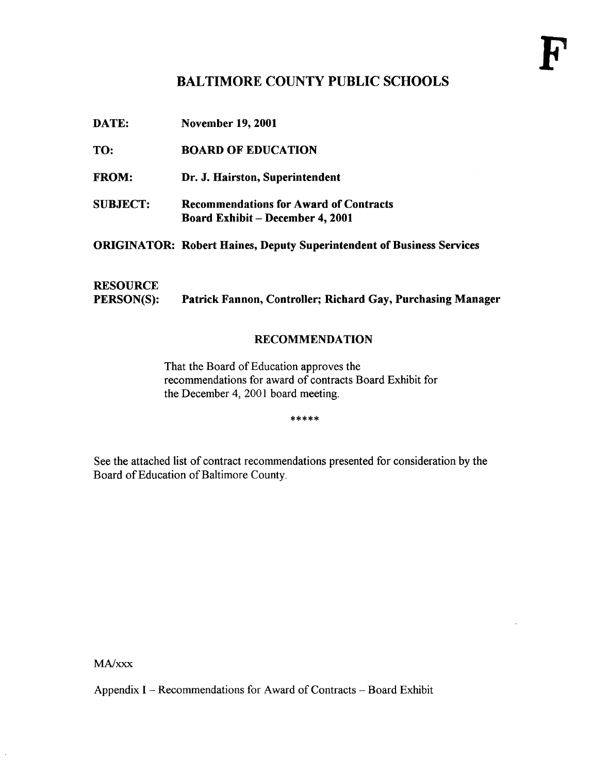### BALTIMORE COUNTY PUBLIC SCHOOLS

| DATE:                                | <b>November 19, 2001</b>                                                                 |
|--------------------------------------|------------------------------------------------------------------------------------------|
| TO:                                  | <b>BOARD OF EDUCATION</b>                                                                |
| <b>FROM:</b>                         | Dr. J. Hairston, Superintendent                                                          |
| <b>SUBJECT:</b>                      | <b>Recommendations for Award of Contracts</b><br><b>Board Exhibit – December 4, 2001</b> |
|                                      | <b>ORIGINATOR: Robert Haines, Deputy Superintendent of Business Services</b>             |
| <b>RESOURCE</b><br><b>PERSON(S):</b> | Patrick Fannon, Controller; Richard Gay, Purchasing Manager                              |

### RECOMMENDATION

That the Board of Education approves the recommendations for award of contracts Board Exhibit for the December 4, 2001 board meeting.

\*\*\*\*\*

See the attached list of contract recommendations presented for consideration by the Board of Education of Baltimore County.

MA/xxx

 $\epsilon$ 

Appendix I - Recommendations for Award of Contracts - Board Exhibit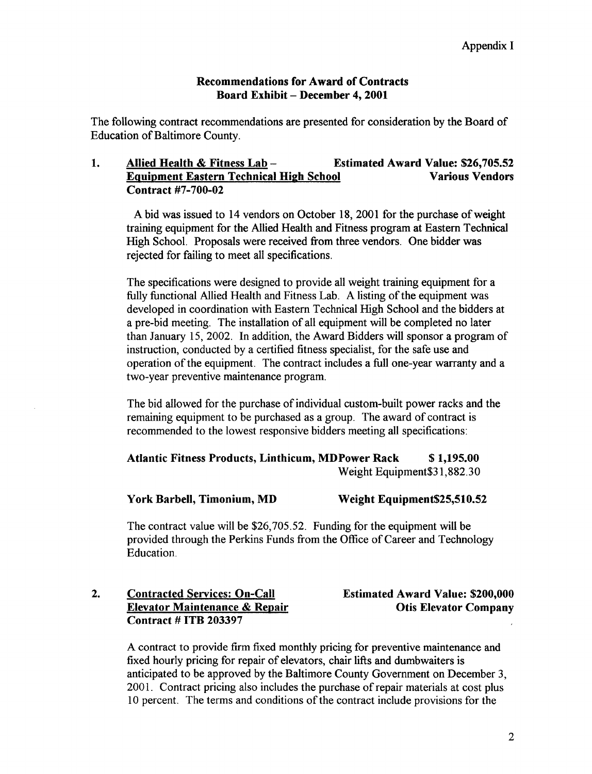### Recommendations for Award of Contracts Board Exhibit - December 4, 2001

The following contract recommendations are presented for consideration by the Board of Education of Baltimore County.

### 1. Allied Health & Fitness Lab - Estimated Award Value: \$26,705.52<br>Equipment Eastern Technical High School Various Vendors Equipment Eastern Technical High School Contract #7-700-02

A bid was issued to 14 vendors on October 18, 2001 for the purchase of weight training equipment for the Allied Health and Fitness program at Eastern Technical High School. Proposals were received from three vendors. One bidder was rejected for failing to meet all specifications.

The specifications were designed to provide all weight training equipment for a fully functional Allied Health and Fitness Lab. A listing of the equipment was developed in coordination with Eastern Technical High School and the bidders at a pre-bid meeting. The installation of all equipment will be completed no later than January 15, 2002. In addition, the Award Bidders will sponsor a program of instruction, conducted by a certified fitness specialist, for the safe use and operation ofthe equipment. The contract includes a full one-year warranty and a two-year preventive maintenance program.

The bid allowed for the purchase of individual custom-built power racks and the remaining equipment to be purchased as a group. The award of contract is recommended to the lowest responsive bidders meeting all specifications :

### Atlantic Fitness Products, Linthicum, MDPower Rack \$1,195.00 Weight Equipment \$31,882.30

### York Barbell, Timonium, MD Weight Equipment\$25,510.52

The contract value will be \$26,705.52. Funding for the equipment will be provided through the Perkins Funds from the Office of Career and Technology Education.

### 2. Contracted Services: On-Call Estimated Award Value: \$200,000<br>Elevator Maintenance & Repair Company Otis Elevator Company Elevator Maintenance & Repair Contract # ITB 203397

A contract to provide firm fixed monthly pricing for preventive maintenance and fixed hourly pricing for repair of elevators, chair lifts and dumbwaiters is anticipated to be approved by the Baltimore County Government on December 3, 2001. Contract pricing also includes the purchase of repair materials at cost plus 10 percent. The terms and conditions of the contract include provisions for the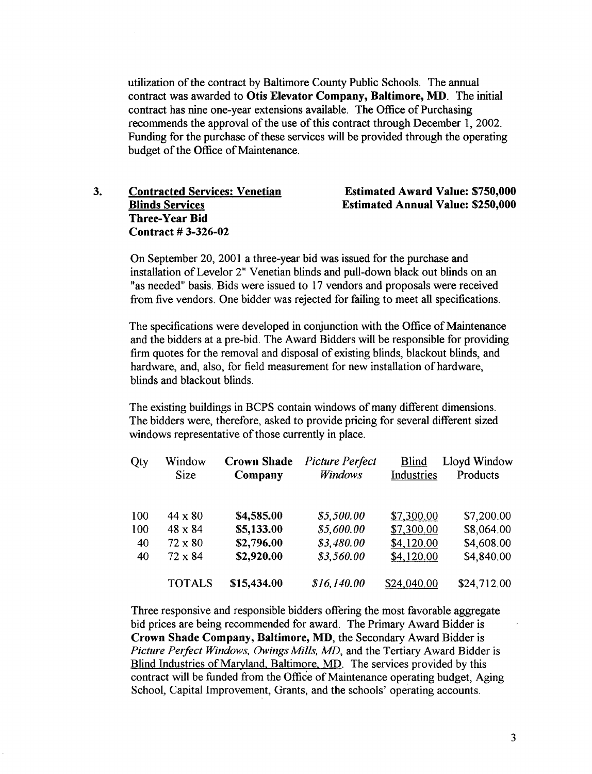utilization of the contract by Baltimore County Public Schools. The annual contract was awarded to Otis Elevator Company, Baltimore, MD. The initial contract has nine one-year extensions available . The Office of Purchasing recommends the approval of the use of this contract through December 1, 2002. Funding for the purchase of these services will be provided through the operating budget of the Office of Maintenance.

3. Contracted Services: Venetian Blinds Services Three-Year Bid Contract # 3-326-02

#### Estimated Award Value: \$750,000 Estimated Annual Value: \$250,000

On September 20, 2001 <sup>a</sup> three-year bid was issued for the purchase and installation of Levelor 2" Venetian blinds and pull-down black out blinds on an "as needed" basis. Bids were issued to 17 vendors and proposals were received from five vendors. One bidder was rejected for failing to meet all specifications.

The specifications were developed in conjunction with the Office of Maintenance and the bidders at a pre-bid. The Award Bidders will be responsible for providing firm quotes for the removal and disposal of existing blinds, blackout blinds, and hardware, and, also, for field measurement for new installation of hardware, blinds and blackout blinds.

The existing buildings in BCPS contain windows of many different dimensions. The bidders were, therefore, asked to provide pricing for several different sized windows representative of those currently in place.

| Qty | Window<br><b>Size</b> | <b>Crown Shade</b><br>Company | <b>Picture Perfect</b><br>Windows | <b>Blind</b><br>Industries | Lloyd Window<br>Products |
|-----|-----------------------|-------------------------------|-----------------------------------|----------------------------|--------------------------|
| 100 | $44 \times 80$        | \$4,585.00                    | \$5,500.00                        | \$7,300.00                 | \$7,200.00               |
| 100 | $48 \times 84$        | \$5,133.00                    | \$5,600.00                        | \$7,300.00                 | \$8,064.00               |
| 40  | $72 \times 80$        | \$2,796.00                    | \$3,480.00                        | \$4,120.00                 | \$4,608.00               |
| 40  | $72 \times 84$        | \$2,920.00                    | \$3,560.00                        | \$4,120.00                 | \$4,840.00               |
|     | <b>TOTALS</b>         | \$15,434.00                   | \$16,140.00                       | \$24,040.00                | \$24,712.00              |

Three responsive and responsible bidders offering the most favorable aggregate bid prices are being recommended for award. The Primary Award Bidder is Crown Shade Company, Baltimore, MD, the Secondary Award Bidder is Picture Perfect Windows, Owings Mills, MD, and the Tertiary Award Bidder is Blind Industries of Maryland, Baltimore, MD. The services provided by this contract will be funded from the Office of Maintenance operating budget, Aging School, Capital Improvement, Grants, and the schools' operating accounts.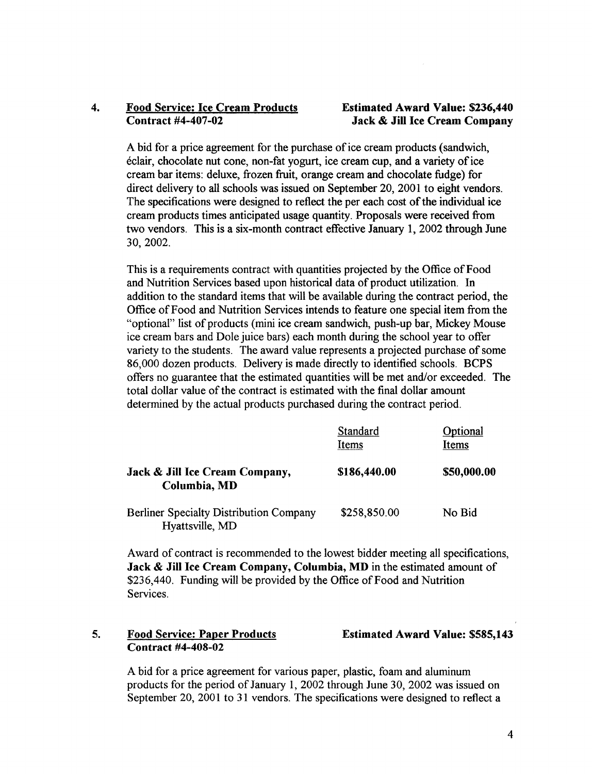## 4. Food Service: Ice Cream Products<br>
Contract #4-407-02<br>
Jack & Jill Ice Cream Company

### Jack & Jill Ice Cream Company

Abid for <sup>a</sup> price agreement for the purchase of ice cream products (sandwich, eclair, chocolate nut cone, non-fat yogurt, ice cream cup, and a variety of ice cream bar items: deluxe, frozen fruit, orange cream and chocolate fudge) for direct delivery to all schools was issued on September 20, 2001 to eight vendors. The specifications were designed to reflect the per each cost of the individual ice cream products times anticipated usage quantity. Proposals were received from two vendors. This is a six-month contract effective January 1, 2002 through June 30, 2002.

This is a requirements contract with quantities projected by the Office of Food and Nutrition Services based upon historical data of product utilization . In addition to the standard items that will be available during the contract period, the Office of Food and Nutrition Services intends to feature one special item from the "optional" list of products (mini ice cream sandwich, push-up bar, Mickey Mouse ice cream bars and Dole juice bars) each month during the school year to offer variety to the students. The award value represents a projected purchase of some 86,000 dozen products. Delivery is made directly to identified schools. BCPS offers no guarantee that the estimated quantities will be met and/or exceeded. The total dollar value of the contract is estimated with the final dollar amount determined by the actual products purchased during the contract period.

|                                                                   | Standard<br>Items | Optional<br>Items |
|-------------------------------------------------------------------|-------------------|-------------------|
| Jack & Jill Ice Cream Company,<br>Columbia, MD                    | \$186,440.00      | \$50,000.00       |
| <b>Berliner Specialty Distribution Company</b><br>Hyattsville, MD | \$258,850.00      | No Bid            |

Award of contract is recommended to the lowest bidder meeting all specifications, Jack & Jill Ice Cream Company, Columbia, MD in the estimated amount of \$236,440. Funding will be provided by the Office of Food and Nutrition Services.

### 5. Food Service: Paper Products Contract #4-408-02

Estimated Award Value: \$585,143

A bid for <sup>a</sup> price agreement for various paper, plastic, foam and aluminum products for the period of January 1, 2002 through June 30, 2002 was issued on September 20, 2001 to 31 vendors. The specifications were designed to reflect a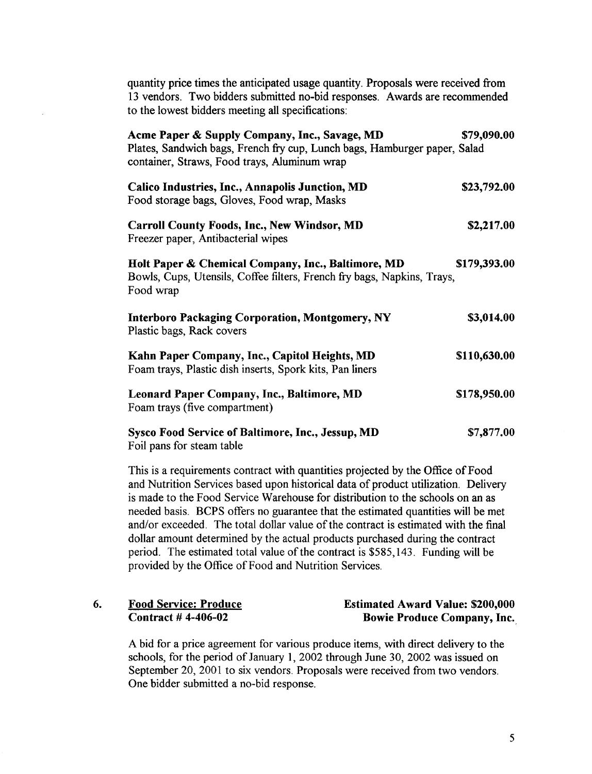quantity price times the anticipated usage quantity. Proposals were received from <sup>13</sup> vendors. Two bidders submitted no-bid responses. Awards are recommended to the lowest bidders meeting all specifications:

| Acme Paper & Supply Company, Inc., Savage, MD<br>Plates, Sandwich bags, French fry cup, Lunch bags, Hamburger paper, Salad<br>container, Straws, Food trays, Aluminum wrap | \$79,090.00  |
|----------------------------------------------------------------------------------------------------------------------------------------------------------------------------|--------------|
| Calico Industries, Inc., Annapolis Junction, MD<br>Food storage bags, Gloves, Food wrap, Masks                                                                             | \$23,792.00  |
| <b>Carroll County Foods, Inc., New Windsor, MD</b><br>Freezer paper, Antibacterial wipes                                                                                   | \$2,217.00   |
| Holt Paper & Chemical Company, Inc., Baltimore, MD<br>Bowls, Cups, Utensils, Coffee filters, French fry bags, Napkins, Trays,<br>Food wrap                                 | \$179,393.00 |
| <b>Interboro Packaging Corporation, Montgomery, NY</b><br>Plastic bags, Rack covers                                                                                        | \$3,014.00   |
| Kahn Paper Company, Inc., Capitol Heights, MD<br>Foam trays, Plastic dish inserts, Spork kits, Pan liners                                                                  | \$110,630.00 |
| <b>Leonard Paper Company, Inc., Baltimore, MD</b><br>Foam trays (five compartment)                                                                                         | \$178,950.00 |
| <b>Sysco Food Service of Baltimore, Inc., Jessup, MD</b><br>Foil pans for steam table                                                                                      | \$7,877.00   |

This is a requirements contract with quantities projected by the Office of Food and Nutrition Services based upon historical data of product utilization . Delivery is made to the Food Service Warehouse for distribution to the schools on an as needed basis . BCPS offers no guarantee that the estimated quantities will be met and/or exceeded. The total dollar value of the contract is estimated with the final dollar amount determined by the actual products purchased during the contract period. The estimated total value of the contract is \$585,143 . Funding will be provided by the Office of Food and Nutrition Services.

### 6. Food Service: Produce Contract # 4-406-02

### Estimated Award Value: \$200,000 Bowie Produce Company, Inc.,

A bid for <sup>a</sup> price agreement for various produce items, with direct delivery to the schools, for the period of January 1, 2002 through June 30, 2002 was issued on September 20, 2001 to six vendors. Proposals were received from two vendors. One bidder submitted a no-bid response.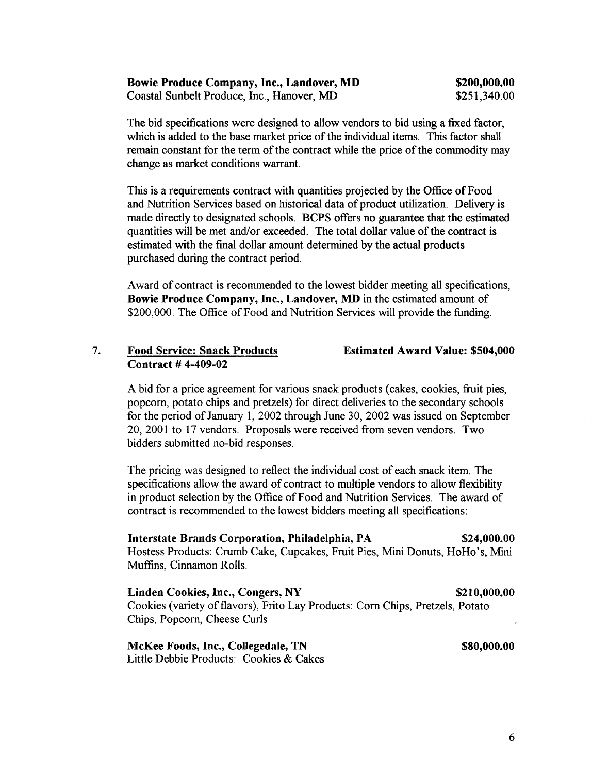| <b>Bowie Produce Company, Inc., Landover, MD</b> | \$200,000.00 |
|--------------------------------------------------|--------------|
| Coastal Sunbelt Produce, Inc., Hanover, MD       | \$251,340.00 |

The bid specifications were designed to allow vendors to bid using a fixed factor, which is added to the base market price of the individual items. This factor shall remain constant for the term of the contract while the price of the commodity may change as market conditions warrant.

This is a requirements contract with quantities projected by the Office of Food and Nutrition Services based on historical data of product utilization. Delivery is made directly to designated schools. BCPS offers no guarantee that the estimated quantities will be met and/or exceeded. The total dollar value of the contract is estimated with the final dollar amount determined by the actual products purchased during the contract period.

Award of contract is recommended to the lowest bidder meeting all specifications, Bowie Produce Company, Inc., Landover, MD in the estimated amount of \$200,000. The Office of Food and Nutrition Services will provide the funding.

### 7. Food Service: Snack Products Contract # 4-409-02

Estimated Award Value: \$504,000

A bid for <sup>a</sup> price agreement for various snack products (cakes, cookies, fruit pies, popcorn, potato chips and pretzels) for direct deliveries to the secondary schools for the period of January 1, 2002 through June 30, 2002 was issued on September 20, 2001 to <sup>17</sup> vendors. Proposals were received from seven vendors. Two bidders submitted no-bid responses.

The pricing was designed to reflect the individual cost of each snack item. The specifications allow the award of contract to multiple vendors to allow flexibility in product selection by the Office of Food and Nutrition Services. The award of contract is recommended to the lowest bidders meeting all specifications :

Interstate Brands Corporation, Philadelphia, PA \$24,000.00 Hostess Products: Crumb Cake, Cupcakes, Fruit Pies, Mini Donuts, HoHo's, Mini Muffins, Cinnamon Rolls.

Linden Cookies, Inc., Congers, NY \$210,000.00 Cookies (variety of flavors), Frito Lay Products: Corn Chips, Pretzels, Potato Chips, Popcorn, Cheese Curls

McKee Foods, Inc., Collegedale, TN \$80,000.00 Little Debbie Products: Cookies & Cakes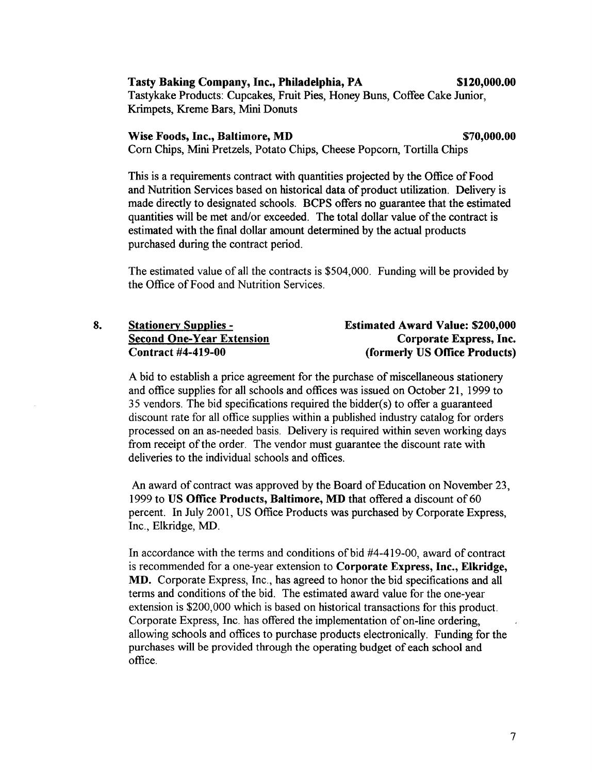Tasty Baking Company, Inc., Philadelphia, PA \$120,000.00

Tastykake Products: Cupcakes, Fruit Pies, Honey Buns, Coffee Cake Junior, Krimpets, Kreme Bars, Mini Donuts

#### Wise Foods, Inc., Baltimore, MD  $$70,000,00$

Corn Chips, Mini Pretzels, Potato Chips, Cheese Popcorn, Tortilla Chips

This is a requirements contract with quantities projected by the Office of Food and Nutrition Services based on historical data of product utilization. Delivery is made directly to designated schools . BCPS offers no guarantee that the estimated quantities will be met and/or exceeded. The total dollar value of the contract is estimated with the final dollar amount determined by the actual products purchased during the contract period.

The estimated value of all the contracts is \$504,000. Funding will be provided by the Office of Food and Nutrition Services.

| <b>Stationery Supplies -</b>     | <b>Estimated Award Value: \$200,000</b> |
|----------------------------------|-----------------------------------------|
| <b>Second One-Year Extension</b> | Corporate Express, Inc.                 |
| <b>Contract #4-419-00</b>        | (formerly US Office Products)           |

A bid to establish <sup>a</sup> price agreement for the purchase of miscellaneous stationery and office supplies for all schools and offices was issued on October 21, 1999 to 35 vendors. The bid specifications required the bidder(s) to offer a guaranteed discount rate for all office supplies within a published industry catalog for orders processed on an as-needed basis. Delivery is required within seven working days from receipt of the order. The vendor must guarantee the discount rate with deliveries to the individual schools and offices.

An award of contract was approved by the Board of Education on November 23, <sup>1999</sup> to US Office Products, Baltimore, MD that offered <sup>a</sup> discount of <sup>60</sup> percent. In July 2001, US Office Products was purchased by Corporate Express, Inc., Elkridge, MD.

In accordance with the terms and conditions of bid #4-419-00, award of contract is recommended for a one-year extension to Corporate Express, Inc., Elkridge, MD. Corporate Express, Inc., has agreed to honor the bid specifications and all terms and conditions of the bid. The estimated award value for the one-year extension is \$200,000 which is based on historical transactions for this product. Corporate Express, Inc. has offered the implementation of on-line ordering, allowing schools and offices to purchase products electronically. Funding for the purchases will be provided through the operating budget of each school and office.